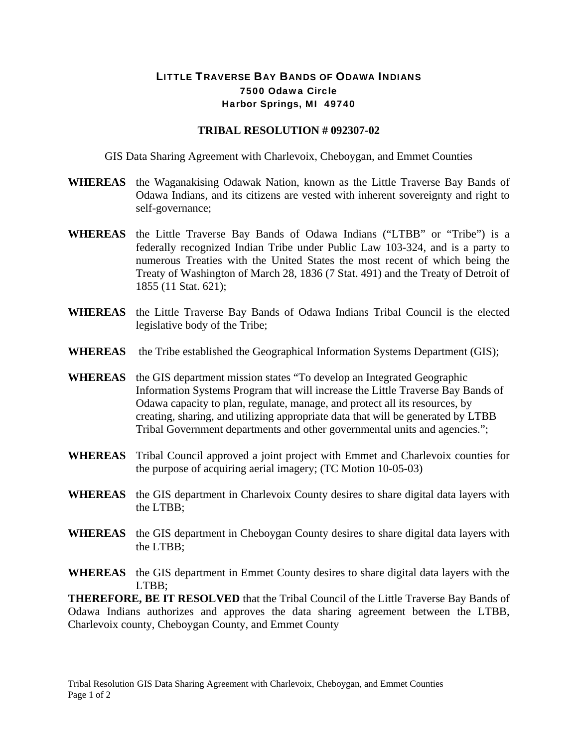## LITTLE TRAVERSE BAY BANDS OF ODAWA INDIANS 7500 Odawa Circle Harbor Springs, MI 49740

## **TRIBAL RESOLUTION # 092307-02**

GIS Data Sharing Agreement with Charlevoix, Cheboygan, and Emmet Counties

- **WHEREAS** the Waganakising Odawak Nation, known as the Little Traverse Bay Bands of Odawa Indians, and its citizens are vested with inherent sovereignty and right to self-governance;
- **WHEREAS** the Little Traverse Bay Bands of Odawa Indians ("LTBB" or "Tribe") is a federally recognized Indian Tribe under Public Law 103-324, and is a party to numerous Treaties with the United States the most recent of which being the Treaty of Washington of March 28, 1836 (7 Stat. 491) and the Treaty of Detroit of 1855 (11 Stat. 621);
- **WHEREAS** the Little Traverse Bay Bands of Odawa Indians Tribal Council is the elected legislative body of the Tribe;
- **WHEREAS** the Tribe established the Geographical Information Systems Department (GIS);
- **WHEREAS** the GIS department mission states "To develop an Integrated Geographic Information Systems Program that will increase the Little Traverse Bay Bands of Odawa capacity to plan, regulate, manage, and protect all its resources, by creating, sharing, and utilizing appropriate data that will be generated by LTBB Tribal Government departments and other governmental units and agencies.";
- **WHEREAS** Tribal Council approved a joint project with Emmet and Charlevoix counties for the purpose of acquiring aerial imagery; (TC Motion 10-05-03)
- **WHEREAS** the GIS department in Charlevoix County desires to share digital data layers with the LTBB;
- **WHEREAS** the GIS department in Cheboygan County desires to share digital data layers with the LTBB;
- **WHEREAS** the GIS department in Emmet County desires to share digital data layers with the LTBB;

**THEREFORE, BE IT RESOLVED** that the Tribal Council of the Little Traverse Bay Bands of Odawa Indians authorizes and approves the data sharing agreement between the LTBB, Charlevoix county, Cheboygan County, and Emmet County